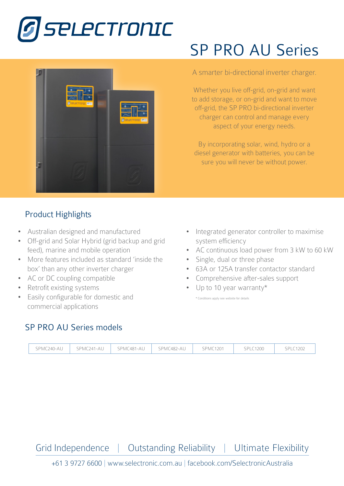



## Product Highlights

- Australian designed and manufactured
- Off-grid and Solar Hybrid (grid backup and grid feed), marine and mobile operation
- More features included as standard 'inside the box' than any other inverter charger
- AC or DC coupling compatible
- Retrofit existing systems
- Easily configurable for domestic and commercial applications

# SP PRO AU Series

#### A smarter bi-directional inverter charger.

Whether you live off-grid, on-grid and want SPMC241-AU<br>SPMC241-AU to add storage, or on-grid and want to move off-grid, the SP PRO bi-directional inverter  $S_{\text{S}}$ charger can control and manage every aspect of your energy needs.

By incorporating solar, wind, hydro or a diesel generator with batteries, you can be sure you will never be without power.

- Integrated generator controller to maximise system efficiency
- AC continuous load power from 3 kW to 60 kW
- Single, dual or three phase
- 63A or 125A transfer contactor standard
- Comprehensive after-sales support
- Up to 10 year warranty\*

\* Conditions apply see website for details

### SP PRO AU Series models

|  | SPMC240-AU | SPMC241-AU | SPMC481-AU | SPMC482-AU | <b>SPMC1201</b> | <b>SPLC1200</b> | LC1202<br>SPL. |
|--|------------|------------|------------|------------|-----------------|-----------------|----------------|
|--|------------|------------|------------|------------|-----------------|-----------------|----------------|

Grid Independence | Outstanding Reliability | Ultimate Flexibility

+61 3 9727 6600 | www.selectronic.com.au | facebook.com/SelectronicAustralia